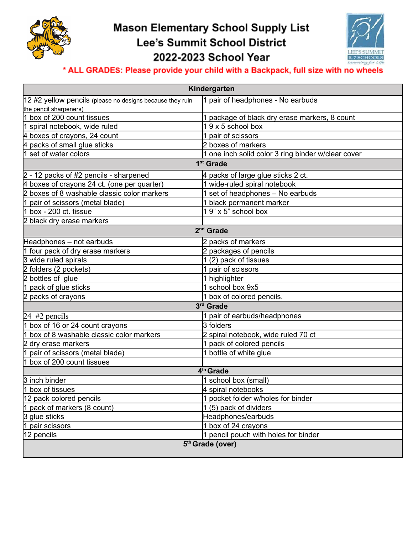

## **Mason Elementary School Supply List** Lee's Summit School District 2022-2023 School Year



## \* ALL GRADES: Please provide your child with a Backpack, full size with no wheels

| Kindergarten                                              |                                                    |
|-----------------------------------------------------------|----------------------------------------------------|
| 12 #2 yellow pencils (please no designs because they ruin | 1 pair of headphones - No earbuds                  |
| the pencil sharpeners)                                    |                                                    |
| 1 box of 200 count tissues                                | 1 package of black dry erase markers, 8 count      |
| 1 spiral notebook, wide ruled                             | $19x5$ school box                                  |
| 4 boxes of crayons, 24 count                              | 1 pair of scissors                                 |
| packs of small glue sticks                                | 2 boxes of markers                                 |
| set of water colors                                       | 1 one inch solid color 3 ring binder w/clear cover |
| 1 <sup>st</sup> Grade                                     |                                                    |
| $2 - 12$ packs of #2 pencils - sharpened                  | 4 packs of large glue sticks 2 ct.                 |
| 4 boxes of crayons 24 ct. (one per quarter)               | 1 wide-ruled spiral notebook                       |
| boxes of 8 washable classic color markers<br>2            | 1 set of headphones - No earbuds                   |
| pair of scissors (metal blade)                            | 1 black permanent marker                           |
| box - 200 ct. tissue                                      | 1 9" x 5" school box                               |
| 2 black dry erase markers                                 |                                                    |
| 2 <sup>nd</sup> Grade                                     |                                                    |
| Headphones - not earbuds                                  | 2 packs of markers                                 |
| four pack of dry erase markers                            | 2 packages of pencils                              |
| 3 wide ruled spirals                                      | 1 (2) pack of tissues                              |
| 2 folders (2 pockets)                                     | 1 pair of scissors                                 |
| 2 bottles of glue                                         | 1 highlighter                                      |
| pack of glue sticks                                       | 1 school box 9x5                                   |
| 2 packs of crayons                                        | 1 box of colored pencils.                          |
| 3rd Grade                                                 |                                                    |
| 24 $#2$ pencils                                           | 1 pair of earbuds/headphones                       |
| box of 16 or 24 count crayons                             | 3 folders                                          |
| box of 8 washable classic color markers<br>1              | 2 spiral notebook, wide ruled 70 ct                |
| 2 dry erase markers                                       | 1 pack of colored pencils                          |
| pair of scissors (metal blade)                            | 1 bottle of white glue                             |
| box of 200 count tissues<br>11                            |                                                    |
| 4 <sup>th</sup> Grade                                     |                                                    |
| 3 inch binder                                             | 1 school box (small)                               |
| 1 box of tissues                                          | 4 spiral notebooks                                 |
| 12 pack colored pencils                                   | 1 pocket folder w/holes for binder                 |
| 1 pack of markers (8 count)                               | 1 (5) pack of dividers                             |
| 3 glue sticks                                             | Headphones/earbuds                                 |
| 1<br>pair scissors                                        | 1 box of 24 crayons                                |
| 12 pencils                                                | 1 pencil pouch with holes for binder               |
| 5th Grade (over)                                          |                                                    |